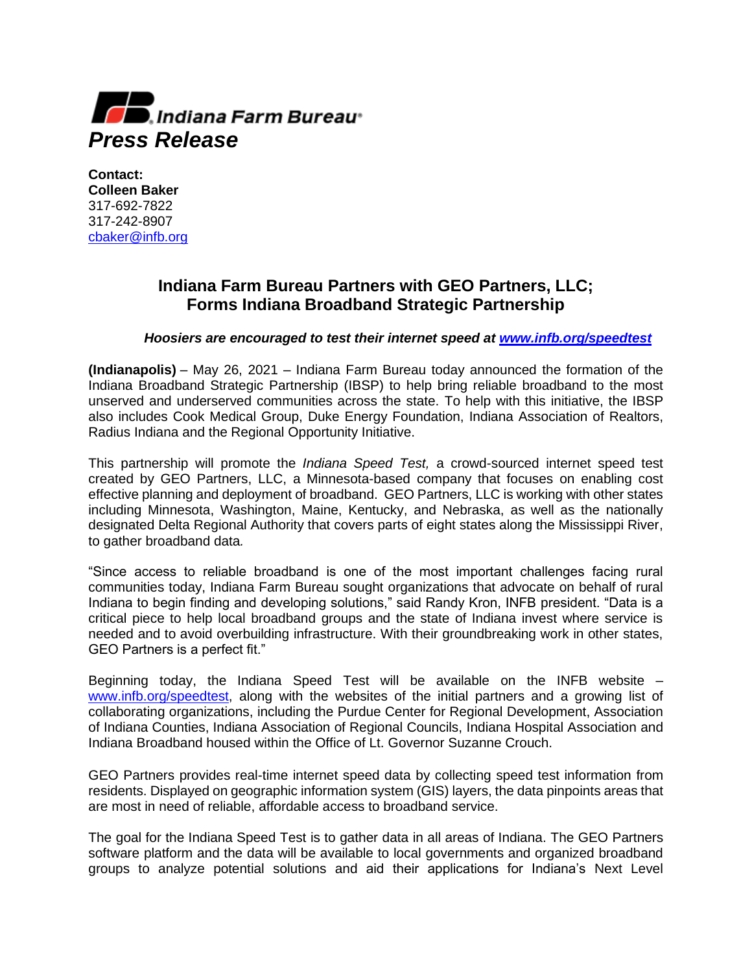

**Contact: Colleen Baker** 317-692-7822 317-242-8907 [cbaker@infb.org](mailto:cbaker@infb.org)

## **Indiana Farm Bureau Partners with GEO Partners, LLC; Forms Indiana Broadband Strategic Partnership**

## *Hoosiers are encouraged to test their internet speed at [www.infb.org/speedtest](http://www.infb.org/speedtest)*

**(Indianapolis)** – May 26, 2021 – Indiana Farm Bureau today announced the formation of the Indiana Broadband Strategic Partnership (IBSP) to help bring reliable broadband to the most unserved and underserved communities across the state. To help with this initiative, the IBSP also includes Cook Medical Group, Duke Energy Foundation, Indiana Association of Realtors, Radius Indiana and the Regional Opportunity Initiative.

This partnership will promote the *Indiana Speed Test,* a crowd-sourced internet speed test created by GEO Partners, LLC, a Minnesota-based company that focuses on enabling cost effective planning and deployment of broadband. GEO Partners, LLC is working with other states including Minnesota, Washington, Maine, Kentucky, and Nebraska, as well as the nationally designated Delta Regional Authority that covers parts of eight states along the Mississippi River, to gather broadband data*.*

"Since access to reliable broadband is one of the most important challenges facing rural communities today, Indiana Farm Bureau sought organizations that advocate on behalf of rural Indiana to begin finding and developing solutions," said Randy Kron, INFB president. "Data is a critical piece to help local broadband groups and the state of Indiana invest where service is needed and to avoid overbuilding infrastructure. With their groundbreaking work in other states, GEO Partners is a perfect fit."

Beginning today, the Indiana Speed Test will be available on the INFB website – [www.infb.org/speedtest,](http://www.infb.org/speedtest) along with the websites of the initial partners and a growing list of collaborating organizations, including the Purdue Center for Regional Development, Association of Indiana Counties, Indiana Association of Regional Councils, Indiana Hospital Association and Indiana Broadband housed within the Office of Lt. Governor Suzanne Crouch.

GEO Partners provides real-time internet speed data by collecting speed test information from residents. Displayed on geographic information system (GIS) layers, the data pinpoints areas that are most in need of reliable, affordable access to broadband service.

The goal for the Indiana Speed Test is to gather data in all areas of Indiana. The GEO Partners software platform and the data will be available to local governments and organized broadband groups to analyze potential solutions and aid their applications for Indiana's Next Level